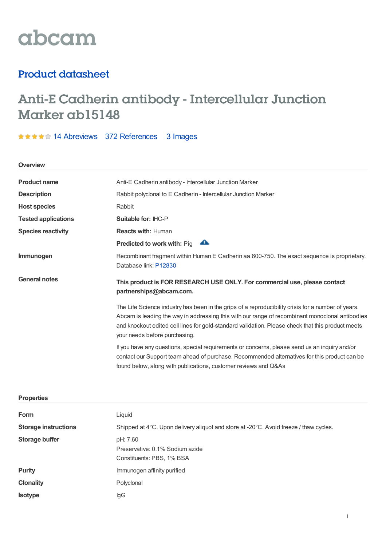

# Product datasheet

# Anti-E Cadherin antibody - Intercellular Junction Marker ab15148

\*\*\*\*\* 14 [Abreviews](https://www.abcam.com/e-cadherin-antibody-intercellular-junction-marker-ab15148.html?productWallTab=Abreviews) 372 [References](https://www.abcam.com/e-cadherin-antibody-intercellular-junction-marker-ab15148.html#description_references) 3 Images

**Overview**

| <b>Product name</b>         | Anti-E Cadherin antibody - Intercellular Junction Marker                                                                                                                                                                                                                                                                                    |  |  |
|-----------------------------|---------------------------------------------------------------------------------------------------------------------------------------------------------------------------------------------------------------------------------------------------------------------------------------------------------------------------------------------|--|--|
| <b>Description</b>          | Rabbit polyclonal to E Cadherin - Intercellular Junction Marker                                                                                                                                                                                                                                                                             |  |  |
| <b>Host species</b>         | Rabbit                                                                                                                                                                                                                                                                                                                                      |  |  |
| <b>Tested applications</b>  | Suitable for: IHC-P                                                                                                                                                                                                                                                                                                                         |  |  |
| <b>Species reactivity</b>   | <b>Reacts with: Human</b>                                                                                                                                                                                                                                                                                                                   |  |  |
|                             | $\blacktriangle$<br>Predicted to work with: Pig                                                                                                                                                                                                                                                                                             |  |  |
| Immunogen                   | Recombinant fragment within Human E Cadherin aa 600-750. The exact sequence is proprietary.<br>Database link: P12830                                                                                                                                                                                                                        |  |  |
| <b>General notes</b>        | This product is FOR RESEARCH USE ONLY. For commercial use, please contact<br>partnerships@abcam.com.                                                                                                                                                                                                                                        |  |  |
|                             | The Life Science industry has been in the grips of a reproducibility crisis for a number of years.<br>Abcam is leading the way in addressing this with our range of recombinant monoclonal antibodies<br>and knockout edited cell lines for gold-standard validation. Please check that this product meets<br>your needs before purchasing. |  |  |
|                             | If you have any questions, special requirements or concerns, please send us an inquiry and/or<br>contact our Support team ahead of purchase. Recommended alternatives for this product can be<br>found below, along with publications, customer reviews and Q&As                                                                            |  |  |
| <b>Properties</b>           |                                                                                                                                                                                                                                                                                                                                             |  |  |
| Form                        | Liquid                                                                                                                                                                                                                                                                                                                                      |  |  |
| <b>Storage instructions</b> | Shipped at 4°C. Upon delivery aliquot and store at -20°C. Avoid freeze / thaw cycles.                                                                                                                                                                                                                                                       |  |  |
| <b>Storage buffer</b>       | pH: 7.60<br>Preservative: 0.1% Sodium azide                                                                                                                                                                                                                                                                                                 |  |  |

**Purity Immunogen affinity purified** 

Constituents: PBS, 1% BSA

**Clonality** Polyclonal **Isotype** IgG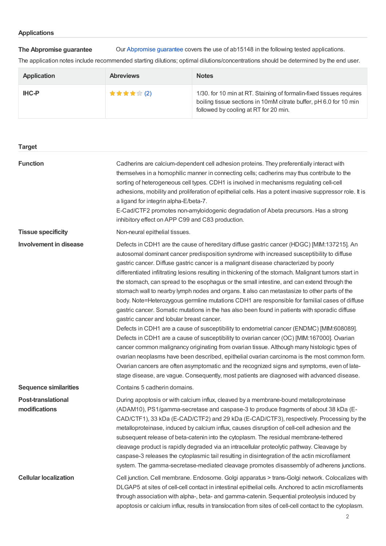**The Abpromise guarantee** Our [Abpromise](https://www.abcam.com/abpromise) guarantee covers the use of ab15148 in the following tested applications.

The application notes include recommended starting dilutions; optimal dilutions/concentrations should be determined by the end user.

| <b>Application</b> | <b>Abreviews</b> | <b>Notes</b>                                                                                                                                                                      |
|--------------------|------------------|-----------------------------------------------------------------------------------------------------------------------------------------------------------------------------------|
| <b>IHC-P</b>       | ★★★★★ (2)        | 1/30. for 10 min at RT. Staining of formalin-fixed tissues requires<br>boiling tissue sections in 10mM citrate buffer, pH 6.0 for 10 min<br>followed by cooling at RT for 20 min. |

| <b>Target</b>                              |                                                                                                                                                                                                                                                                                                                                                                                                                                                                                                                                                                                                                                                                                                                                                                                                                                                                                                                                                                                                                                                                                                                                                                                                                                                                                                                                                                                                                                  |
|--------------------------------------------|----------------------------------------------------------------------------------------------------------------------------------------------------------------------------------------------------------------------------------------------------------------------------------------------------------------------------------------------------------------------------------------------------------------------------------------------------------------------------------------------------------------------------------------------------------------------------------------------------------------------------------------------------------------------------------------------------------------------------------------------------------------------------------------------------------------------------------------------------------------------------------------------------------------------------------------------------------------------------------------------------------------------------------------------------------------------------------------------------------------------------------------------------------------------------------------------------------------------------------------------------------------------------------------------------------------------------------------------------------------------------------------------------------------------------------|
| <b>Function</b>                            | Cadherins are calcium-dependent cell adhesion proteins. They preferentially interact with<br>themselves in a homophilic manner in connecting cells; cadherins may thus contribute to the<br>sorting of heterogeneous cell types. CDH1 is involved in mechanisms regulating cell-cell<br>adhesions, mobility and proliferation of epithelial cells. Has a potent invasive suppressor role. It is<br>a ligand for integrin alpha-E/beta-7.<br>E-Cad/CTF2 promotes non-amyloidogenic degradation of Abeta precursors. Has a strong<br>inhibitory effect on APP C99 and C83 production.                                                                                                                                                                                                                                                                                                                                                                                                                                                                                                                                                                                                                                                                                                                                                                                                                                              |
| <b>Tissue specificity</b>                  | Non-neural epithelial tissues.                                                                                                                                                                                                                                                                                                                                                                                                                                                                                                                                                                                                                                                                                                                                                                                                                                                                                                                                                                                                                                                                                                                                                                                                                                                                                                                                                                                                   |
| <b>Involvement in disease</b>              | Defects in CDH1 are the cause of hereditary diffuse gastric cancer (HDGC) [MIM:137215]. An<br>autosomal dominant cancer predisposition syndrome with increased susceptibility to diffuse<br>gastric cancer. Diffuse gastric cancer is a malignant disease characterized by poorly<br>differentiated infiltrating lesions resulting in thickening of the stomach. Malignant tumors start in<br>the stomach, can spread to the esophagus or the small intestine, and can extend through the<br>stomach wall to nearby lymph nodes and organs. It also can metastasize to other parts of the<br>body. Note=Heterozygous germline mutations CDH1 are responsible for familial cases of diffuse<br>gastric cancer. Somatic mutations in the has also been found in patients with sporadic diffuse<br>gastric cancer and lobular breast cancer.<br>Defects in CDH1 are a cause of susceptibility to endometrial cancer (ENDMC) [MIM:608089].<br>Defects in CDH1 are a cause of susceptibility to ovarian cancer (OC) [MIM:167000]. Ovarian<br>cancer common malignancy originating from ovarian tissue. Although many histologic types of<br>ovarian neoplasms have been described, epithelial ovarian carcinoma is the most common form.<br>Ovarian cancers are often asymptomatic and the recognized signs and symptoms, even of late-<br>stage disease, are vague. Consequently, most patients are diagnosed with advanced disease. |
| <b>Sequence similarities</b>               | Contains 5 cadherin domains.                                                                                                                                                                                                                                                                                                                                                                                                                                                                                                                                                                                                                                                                                                                                                                                                                                                                                                                                                                                                                                                                                                                                                                                                                                                                                                                                                                                                     |
| <b>Post-translational</b><br>modifications | During apoptosis or with calcium influx, cleaved by a membrane-bound metalloproteinase<br>(ADAM10), PS1/gamma-secretase and caspase-3 to produce fragments of about 38 kDa (E-<br>CAD/CTF1), 33 kDa (E-CAD/CTF2) and 29 kDa (E-CAD/CTF3), respectively. Processing by the<br>metalloproteinase, induced by calcium influx, causes disruption of cell-cell adhesion and the<br>subsequent release of beta-catenin into the cytoplasm. The residual membrane-tethered<br>cleavage product is rapidly degraded via an intracellular proteolytic pathway. Cleavage by<br>caspase-3 releases the cytoplasmic tail resulting in disintegration of the actin microfilament<br>system. The gamma-secretase-mediated cleavage promotes disassembly of adherens junctions.                                                                                                                                                                                                                                                                                                                                                                                                                                                                                                                                                                                                                                                                 |
| <b>Cellular localization</b>               | Cell junction. Cell membrane. Endosome. Golgi apparatus > trans-Golgi network. Colocalizes with<br>DLGAP5 at sites of cell-cell contact in intestinal epithelial cells. Anchored to actin microfilaments<br>through association with alpha-, beta- and gamma-catenin. Sequential proteolysis induced by<br>apoptosis or calcium influx, results in translocation from sites of cell-cell contact to the cytoplasm.                                                                                                                                                                                                                                                                                                                                                                                                                                                                                                                                                                                                                                                                                                                                                                                                                                                                                                                                                                                                               |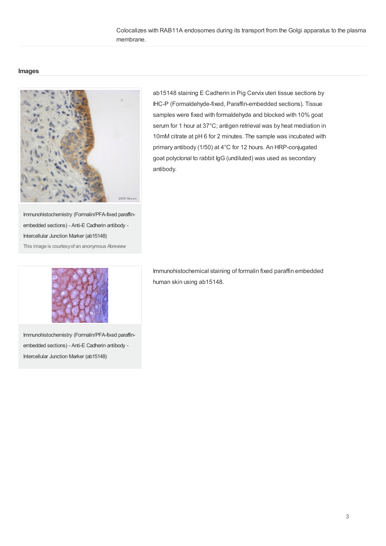Colocalizes with RAB11A endosomes during its transport from the Golgi apparatus to the plasma membrane.

#### **Images**



ab15148 staining E Cadherin in Pig Cervix uteri tissue sections by IHC-P (Formaldehyde-fixed, Paraffin-embedded sections). Tissue samples were fixed with formaldehyde and blocked with 10% goat serum for 1 hour at 37°C; antigen retrieval was by heat mediation in 10mM citrate at pH 6 for 2 minutes. The sample was incubated with primary antibody (1/50) at 4°C for 12 hours. An HRP-conjugated goat polyclonal to rabbit IgG (undiluted) was used as secondary antibody.

Immunohistochemistry (Formalin/PFA-fixed paraffinembedded sections) - Anti-E Cadherin antibody - Intercellular Junction Marker (ab15148) This image is courtesyof an anonymous Abreview



Immunohistochemistry (Formalin/PFA-fixed paraffinembedded sections) - Anti-E Cadherin antibody - Intercellular Junction Marker (ab15148)

Immunohistochemical staining of formalin fixed paraffin embedded human skin using ab15148.